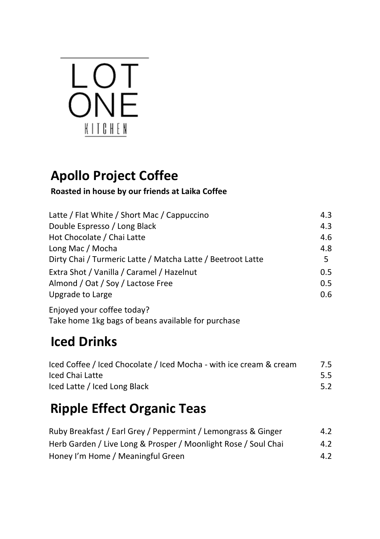# LOT<br>ONE KITCHEN

#### **Apollo Project Coffee**

#### **Roasted in house by our friends at Laika Coffee**

| Latte / Flat White / Short Mac / Cappuccino                 | 4.3 |
|-------------------------------------------------------------|-----|
| Double Espresso / Long Black                                | 4.3 |
| Hot Chocolate / Chai Latte                                  | 4.6 |
| Long Mac / Mocha                                            | 4.8 |
| Dirty Chai / Turmeric Latte / Matcha Latte / Beetroot Latte | 5.  |
| Extra Shot / Vanilla / Caramel / Hazelnut                   | 0.5 |
| Almond / Oat / Soy / Lactose Free                           | 0.5 |
| Upgrade to Large                                            | 0.6 |
|                                                             |     |

Enjoyed your coffee today? Take home 1kg bags of beans available for purchase

## **Iced Drinks**

| Iced Coffee / Iced Chocolate / Iced Mocha - with ice cream & cream | 7.5 |
|--------------------------------------------------------------------|-----|
| Iced Chai Latte                                                    | 5.5 |
| Iced Latte / Iced Long Black                                       | 5.2 |

## **Ripple Effect Organic Teas**

| Ruby Breakfast / Earl Grey / Peppermint / Lemongrass & Ginger  | 4.2 |
|----------------------------------------------------------------|-----|
| Herb Garden / Live Long & Prosper / Moonlight Rose / Soul Chai | 4.2 |
| Honey I'm Home / Meaningful Green                              | 4.2 |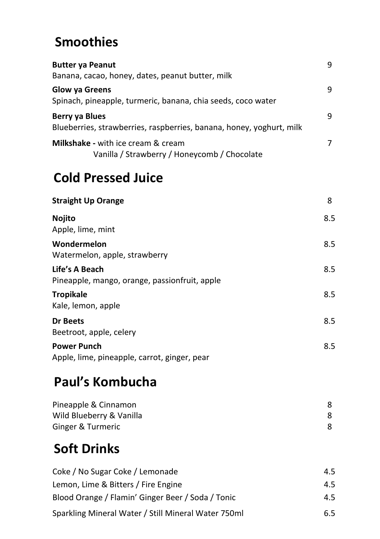#### **Smoothies**

| <b>Butter ya Peanut</b>                                                                   | 9 |
|-------------------------------------------------------------------------------------------|---|
| Banana, cacao, honey, dates, peanut butter, milk                                          |   |
| Glow ya Greens                                                                            | 9 |
| Spinach, pineapple, turmeric, banana, chia seeds, coco water                              |   |
| Berry ya Blues<br>Blueberries, strawberries, raspberries, banana, honey, yoghurt, milk    | 9 |
| <b>Milkshake</b> - with ice cream & cream<br>Vanilla / Strawberry / Honeycomb / Chocolate | 7 |
|                                                                                           |   |

#### **Cold Pressed Juice**

**Straight Up Orange 8 Nojito**  Apple, lime, mint 8.5 **Wondermelon** Watermelon, apple, strawberry 8.5 **Life's A Beach**  Pineapple, mango, orange, passionfruit, apple 8.5 **Tropikale**  Kale, lemon, apple 8.5 **Dr Beets**  Beetroot, apple, celery 8.5 **Power Punch**  Apple, lime, pineapple, carrot, ginger, pear 8.5

#### **Paul's Kombucha**

| Pineapple & Cinnamon     |  |
|--------------------------|--|
| Wild Blueberry & Vanilla |  |
| Ginger & Turmeric        |  |

## **Soft Drinks**

| Coke / No Sugar Coke / Lemonade                     | 4.5 |
|-----------------------------------------------------|-----|
|                                                     |     |
| Lemon, Lime & Bitters / Fire Engine                 | 4.5 |
|                                                     |     |
| Blood Orange / Flamin' Ginger Beer / Soda / Tonic   | 4.5 |
|                                                     |     |
| Sparkling Mineral Water / Still Mineral Water 750ml | 6.5 |
|                                                     |     |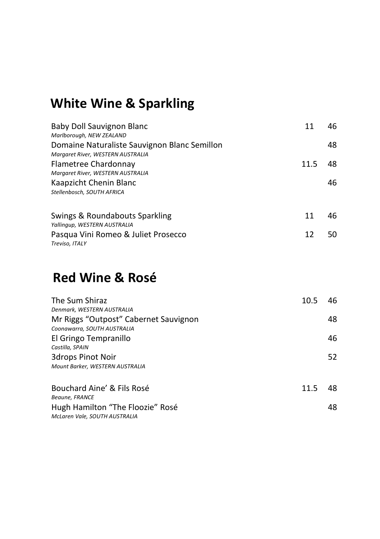## **White Wine & Sparkling**

| Baby Doll Sauvignon Blanc<br>Marlborough, NEW ZEALAND                                     |      | 46. |
|-------------------------------------------------------------------------------------------|------|-----|
| Domaine Naturaliste Sauvignon Blanc Semillon<br>Margaret River, WESTERN AUSTRALIA         |      | 48  |
| Flametree Chardonnay                                                                      | 11.5 | 48. |
| Margaret River, WESTERN AUSTRALIA<br>Kaapzicht Chenin Blanc<br>Stellenbosch, SOUTH AFRICA |      | 46  |
| Swings & Roundabouts Sparkling<br>Yallingup, WESTERN AUSTRALIA                            | 11   | 46  |
| Pasqua Vini Romeo & Juliet Prosecco<br>Treviso, ITALY                                     | 12   | 50. |

#### **Red Wine & Rosé**

| The Sum Shiraz<br>Denmark, WESTERN AUSTRALIA                         | 10.5 | 46 |
|----------------------------------------------------------------------|------|----|
| Mr Riggs "Outpost" Cabernet Sauvignon<br>Coonawarra, SOUTH AUSTRALIA |      | 48 |
| El Gringo Tempranillo<br>Castilla, SPAIN                             |      | 46 |
| <b>3drops Pinot Noir</b><br>Mount Barker, WESTERN AUSTRALIA          |      | 52 |
| Bouchard Aine' & Fils Rosé<br><b>Beaune, FRANCE</b>                  | 11.5 |    |
| Hugh Hamilton "The Floozie" Rosé<br>McLaren Vale, SOUTH AUSTRALIA    |      | 48 |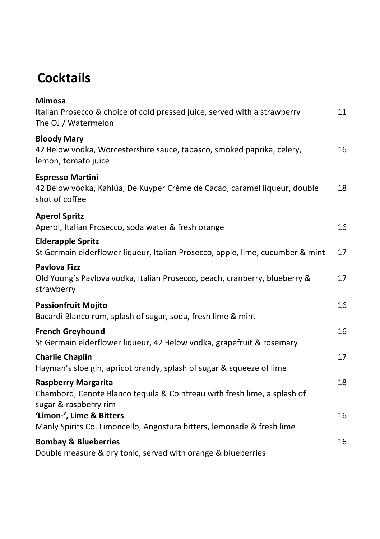#### **Cocktails**

| <b>Mimosa</b><br>Italian Prosecco & choice of cold pressed juice, served with a strawberry<br>The OJ / Watermelon               | 11 |
|---------------------------------------------------------------------------------------------------------------------------------|----|
| <b>Bloody Mary</b><br>42 Below vodka, Worcestershire sauce, tabasco, smoked paprika, celery,<br>lemon, tomato juice             | 16 |
| <b>Espresso Martini</b><br>42 Below vodka, Kahlúa, De Kuyper Crème de Cacao, caramel liqueur, double<br>shot of coffee          | 18 |
| <b>Aperol Spritz</b><br>Aperol, Italian Prosecco, soda water & fresh orange                                                     | 16 |
| <b>Elderapple Spritz</b><br>St Germain elderflower liqueur, Italian Prosecco, apple, lime, cucumber & mint                      | 17 |
| <b>Pavlova Fizz</b><br>Old Young's Pavlova vodka, Italian Prosecco, peach, cranberry, blueberry &<br>strawberry                 | 17 |
| <b>Passionfruit Mojito</b><br>Bacardi Blanco rum, splash of sugar, soda, fresh lime & mint                                      | 16 |
| <b>French Greyhound</b><br>St Germain elderflower liqueur, 42 Below vodka, grapefruit & rosemary                                | 16 |
| <b>Charlie Chaplin</b><br>Hayman's sloe gin, apricot brandy, splash of sugar & squeeze of lime                                  | 17 |
| <b>Raspberry Margarita</b><br>Chambord, Cenote Blanco tequila & Cointreau with fresh lime, a splash of<br>sugar & raspberry rim | 18 |
| 'Limon-', Lime & Bitters<br>Manly Spirits Co. Limoncello, Angostura bitters, lemonade & fresh lime                              | 16 |
| <b>Bombay &amp; Blueberries</b><br>Double measure & dry tonic, served with orange & blueberries                                 | 16 |